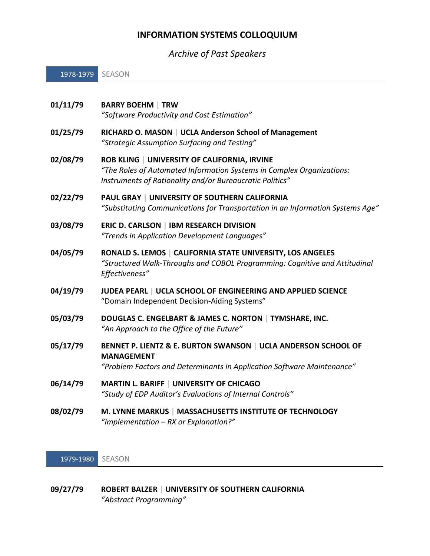# **INFORMATION SYSTEMS COLLOQUIUM**

*Archive of Past Speakers*

1978-1979 SEASON

| 01/11/79 | <b>BARRY BOEHM   TRW</b><br>"Software Productivity and Cost Estimation"                                                                                                           |
|----------|-----------------------------------------------------------------------------------------------------------------------------------------------------------------------------------|
| 01/25/79 | RICHARD O. MASON   UCLA Anderson School of Management<br>"Strategic Assumption Surfacing and Testing"                                                                             |
| 02/08/79 | ROB KLING   UNIVERSITY OF CALIFORNIA, IRVINE<br>"The Roles of Automated Information Systems in Complex Organizations:<br>Instruments of Rationality and/or Bureaucratic Politics" |
| 02/22/79 | <b>PAUL GRAY   UNIVERSITY OF SOUTHERN CALIFORNIA</b><br>"Substituting Communications for Transportation in an Information Systems Age"                                            |
| 03/08/79 | <b>ERIC D. CARLSON   IBM RESEARCH DIVISION</b><br>"Trends in Application Development Languages"                                                                                   |
| 04/05/79 | RONALD S. LEMOS   CALIFORNIA STATE UNIVERSITY, LOS ANGELES<br>"Structured Walk-Throughs and COBOL Programming: Cognitive and Attitudinal<br>Effectiveness"                        |
| 04/19/79 | JUDEA PEARL   UCLA SCHOOL OF ENGINEERING AND APPLIED SCIENCE<br>"Domain Independent Decision-Aiding Systems"                                                                      |
| 05/03/79 | DOUGLAS C. ENGELBART & JAMES C. NORTON   TYMSHARE, INC.<br>"An Approach to the Office of the Future"                                                                              |
| 05/17/79 | BENNET P. LIENTZ & E. BURTON SWANSON   UCLA ANDERSON SCHOOL OF<br><b>MANAGEMENT</b><br>"Problem Factors and Determinants in Application Software Maintenance"                     |
| 06/14/79 | <b>MARTIN L. BARIFF   UNIVERSITY OF CHICAGO</b><br>"Study of EDP Auditor's Evaluations of Internal Controls"                                                                      |
| 08/02/79 | M. LYNNE MARKUS   MASSACHUSETTS INSTITUTE OF TECHNOLOGY                                                                                                                           |

*"Implementation – RX or Explanation?"*

1979-1980 SEASON

## **09/27/79 ROBERT BALZER | UNIVERSITY OF SOUTHERN CALIFORNIA** *"Abstract Programming"*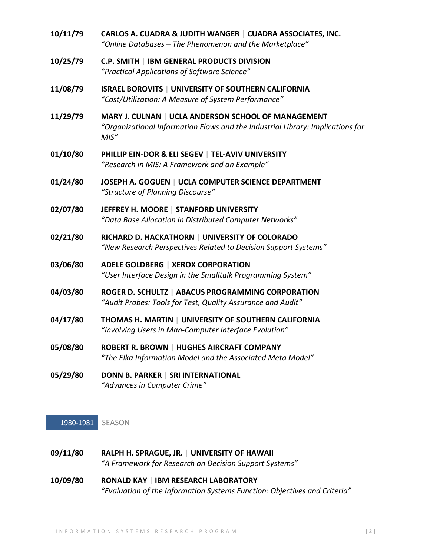| 10/11/79 | CARLOS A. CUADRA & JUDITH WANGER   CUADRA ASSOCIATES, INC.<br>"Online Databases - The Phenomenon and the Marketplace"                          |
|----------|------------------------------------------------------------------------------------------------------------------------------------------------|
| 10/25/79 | <b>C.P. SMITH   IBM GENERAL PRODUCTS DIVISION</b><br>"Practical Applications of Software Science"                                              |
| 11/08/79 | <b>ISRAEL BOROVITS   UNIVERSITY OF SOUTHERN CALIFORNIA</b><br>"Cost/Utilization: A Measure of System Performance"                              |
| 11/29/79 | MARY J. CULNAN   UCLA ANDERSON SCHOOL OF MANAGEMENT<br>"Organizational Information Flows and the Industrial Library: Implications for<br>MIS'' |
| 01/10/80 | PHILLIP EIN-DOR & ELI SEGEV   TEL-AVIV UNIVERSITY<br>"Research in MIS: A Framework and an Example"                                             |
| 01/24/80 | JOSEPH A. GOGUEN   UCLA COMPUTER SCIENCE DEPARTMENT<br>"Structure of Planning Discourse"                                                       |
| 02/07/80 | JEFFREY H. MOORE   STANFORD UNIVERSITY<br>"Data Base Allocation in Distributed Computer Networks"                                              |
| 02/21/80 | RICHARD D. HACKATHORN   UNIVERSITY OF COLORADO<br>"New Research Perspectives Related to Decision Support Systems"                              |
| 03/06/80 | <b>ADELE GOLDBERG   XEROX CORPORATION</b><br>"User Interface Design in the Smalltalk Programming System"                                       |
| 04/03/80 | ROGER D. SCHULTZ   ABACUS PROGRAMMING CORPORATION<br>"Audit Probes: Tools for Test, Quality Assurance and Audit"                               |
| 04/17/80 | THOMAS H. MARTIN   UNIVERSITY OF SOUTHERN CALIFORNIA<br>"Involving Users in Man-Computer Interface Evolution"                                  |
| 05/08/80 | <b>ROBERT R. BROWN   HUGHES AIRCRAFT COMPANY</b><br>"The Elka Information Model and the Associated Meta Model"                                 |
| 05/29/80 | DONN B. PARKER   SRI INTERNATIONAL<br>"Advances in Computer Crime"                                                                             |

1980-1981 SEASON

- **09/11/80 RALPH H. SPRAGUE, JR. | UNIVERSITY OF HAWAII** *"A Framework for Research on Decision Support Systems"*
- **10/09/80 RONALD KAY | IBM RESEARCH LABORATORY** *"Evaluation of the Information Systems Function: Objectives and Criteria"*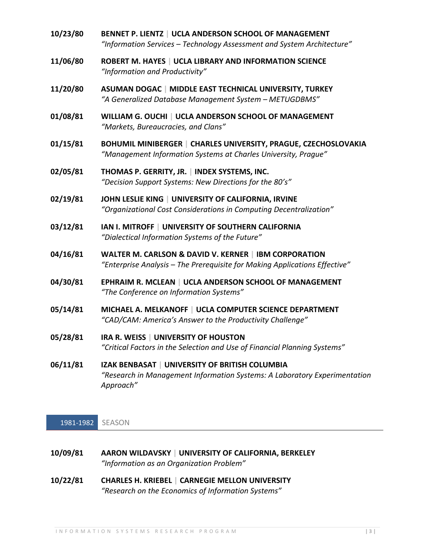- **10/23/80 BENNET P. LIENTZ | UCLA ANDERSON SCHOOL OF MANAGEMENT** *"Information Services – Technology Assessment and System Architecture"*
- **11/06/80 ROBERT M. HAYES | UCLA LIBRARY AND INFORMATION SCIENCE** *"Information and Productivity"*
- **11/20/80 ASUMAN DOGAC | MIDDLE EAST TECHNICAL UNIVERSITY, TURKEY** *"A Generalized Database Management System – METUGDBMS"*
- **01/08/81 WILLIAM G. OUCHI | UCLA ANDERSON SCHOOL OF MANAGEMENT** *"Markets, Bureaucracies, and Clans"*
- **01/15/81 BOHUMIL MINIBERGER | CHARLES UNIVERSITY, PRAGUE, CZECHOSLOVAKIA** *"Management Information Systems at Charles University, Prague"*
- **02/05/81 THOMAS P. GERRITY, JR. | INDEX SYSTEMS, INC.** *"Decision Support Systems: New Directions for the 80's"*
- **02/19/81 JOHN LESLIE KING | UNIVERSITY OF CALIFORNIA, IRVINE** *"Organizational Cost Considerations in Computing Decentralization"*
- **03/12/81 IAN I. MITROFF | UNIVERSITY OF SOUTHERN CALIFORNIA** *"Dialectical Information Systems of the Future"*
- **04/16/81 WALTER M. CARLSON & DAVID V. KERNER | IBM CORPORATION** *"Enterprise Analysis – The Prerequisite for Making Applications Effective"*
- **04/30/81 EPHRAIM R. MCLEAN | UCLA ANDERSON SCHOOL OF MANAGEMENT** *"The Conference on Information Systems"*
- **05/14/81 MICHAEL A. MELKANOFF | UCLA COMPUTER SCIENCE DEPARTMENT** *"CAD/CAM: America's Answer to the Productivity Challenge"*
- **05/28/81 IRA R. WEISS | UNIVERSITY OF HOUSTON** *"Critical Factors in the Selection and Use of Financial Planning Systems"*
- **06/11/81 IZAK BENBASAT | UNIVERSITY OF BRITISH COLUMBIA** *"Research in Management Information Systems: A Laboratory Experimentation Approach"*

1981-1982 SEASON

**10/09/81 AARON WILDAVSKY | UNIVERSITY OF CALIFORNIA, BERKELEY** *"Information as an Organization Problem"*

**10/22/81 CHARLES H. KRIEBEL | CARNEGIE MELLON UNIVERSITY** *"Research on the Economics of Information Systems"*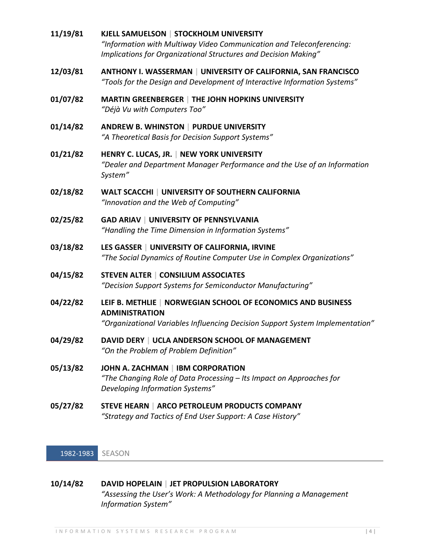| 11/19/81 | KJELL SAMUELSON   STOCKHOLM UNIVERSITY<br>"Information with Multiway Video Communication and Teleconferencing:<br>Implications for Organizational Structures and Decision Making" |
|----------|-----------------------------------------------------------------------------------------------------------------------------------------------------------------------------------|
| 12/03/81 | ANTHONY I. WASSERMAN   UNIVERSITY OF CALIFORNIA, SAN FRANCISCO<br>"Tools for the Design and Development of Interactive Information Systems"                                       |
| 01/07/82 | <b>MARTIN GREENBERGER   THE JOHN HOPKINS UNIVERSITY</b><br>"Déjà Vu with Computers Too"                                                                                           |
| 01/14/82 | ANDREW B. WHINSTON   PURDUE UNIVERSITY<br>"A Theoretical Basis for Decision Support Systems"                                                                                      |
| 01/21/82 | HENRY C. LUCAS, JR.   NEW YORK UNIVERSITY<br>"Dealer and Department Manager Performance and the Use of an Information<br>System"                                                  |
| 02/18/82 | <b>WALT SCACCHI   UNIVERSITY OF SOUTHERN CALIFORNIA</b><br>"Innovation and the Web of Computing"                                                                                  |
| 02/25/82 | <b>GAD ARIAV   UNIVERSITY OF PENNSYLVANIA</b><br>"Handling the Time Dimension in Information Systems"                                                                             |
| 03/18/82 | LES GASSER   UNIVERSITY OF CALIFORNIA, IRVINE<br>"The Social Dynamics of Routine Computer Use in Complex Organizations"                                                           |
| 04/15/82 | <b>STEVEN ALTER   CONSILIUM ASSOCIATES</b><br>"Decision Support Systems for Semiconductor Manufacturing"                                                                          |
| 04/22/82 | LEIF B. METHLIE   NORWEGIAN SCHOOL OF ECONOMICS AND BUSINESS<br><b>ADMINISTRATION</b><br>"Organizational Variables Influencing Decision Support System Implementation"            |
| 04/29/82 | DAVID DERY   UCLA ANDERSON SCHOOL OF MANAGEMENT<br>"On the Problem of Problem Definition"                                                                                         |
| 05/13/82 | JOHN A. ZACHMAN   IBM CORPORATION<br>"The Changing Role of Data Processing - Its Impact on Approaches for<br>Developing Information Systems"                                      |
| 05/27/82 | STEVE HEARN   ARCO PETROLEUM PRODUCTS COMPANY<br>"Strategy and Tactics of End User Support: A Case History"                                                                       |
|          |                                                                                                                                                                                   |

1982-1983 SEASON

# **10/14/82 DAVID HOPELAIN | JET PROPULSION LABORATORY** *"Assessing the User's Work: A Methodology for Planning a Management Information System"*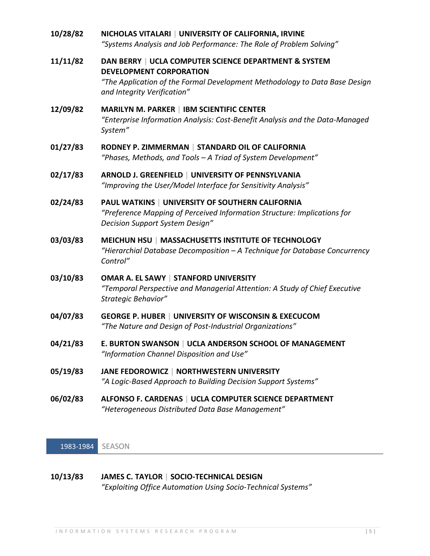| 10/28/82 | NICHOLAS VITALARI   UNIVERSITY OF CALIFORNIA, IRVINE<br>"Systems Analysis and Job Performance: The Role of Problem Solving"                                                                          |
|----------|------------------------------------------------------------------------------------------------------------------------------------------------------------------------------------------------------|
| 11/11/82 | DAN BERRY   UCLA COMPUTER SCIENCE DEPARTMENT & SYSTEM<br><b>DEVELOPMENT CORPORATION</b><br>"The Application of the Formal Development Methodology to Data Base Design<br>and Integrity Verification" |
| 12/09/82 | <b>MARILYN M. PARKER   IBM SCIENTIFIC CENTER</b><br>"Enterprise Information Analysis: Cost-Benefit Analysis and the Data-Managed<br>System"                                                          |
| 01/27/83 | RODNEY P. ZIMMERMAN   STANDARD OIL OF CALIFORNIA<br>"Phases, Methods, and Tools - A Triad of System Development"                                                                                     |
| 02/17/83 | ARNOLD J. GREENFIELD   UNIVERSITY OF PENNSYLVANIA<br>"Improving the User/Model Interface for Sensitivity Analysis"                                                                                   |
| 02/24/83 | <b>PAUL WATKINS   UNIVERSITY OF SOUTHERN CALIFORNIA</b><br>"Preference Mapping of Perceived Information Structure: Implications for<br>Decision Support System Design"                               |
| 03/03/83 | MEICHUN HSU   MASSACHUSETTS INSTITUTE OF TECHNOLOGY<br>"Hierarchial Database Decomposition $-A$ Technique for Database Concurrency<br>Control"                                                       |
| 03/10/83 | OMAR A. EL SAWY   STANFORD UNIVERSITY<br>"Temporal Perspective and Managerial Attention: A Study of Chief Executive<br>Strategic Behavior"                                                           |
| 04/07/83 | <b>GEORGE P. HUBER   UNIVERSITY OF WISCONSIN &amp; EXECUCOM</b><br>"The Nature and Design of Post-Industrial Organizations"                                                                          |
| 04/21/83 | E. BURTON SWANSON   UCLA ANDERSON SCHOOL OF MANAGEMENT<br>"Information Channel Disposition and Use"                                                                                                  |
| 05/19/83 | JANE FEDOROWICZ   NORTHWESTERN UNIVERSITY<br>"A Logic-Based Approach to Building Decision Support Systems"                                                                                           |
| 06/02/83 | ALFONSO F. CARDENAS   UCLA COMPUTER SCIENCE DEPARTMENT<br>"Heterogeneous Distributed Data Base Management"                                                                                           |

1983-1984 SEASON

**10/13/83 JAMES C. TAYLOR | SOCIO-TECHNICAL DESIGN** *"Exploiting Office Automation Using Socio-Technical Systems"*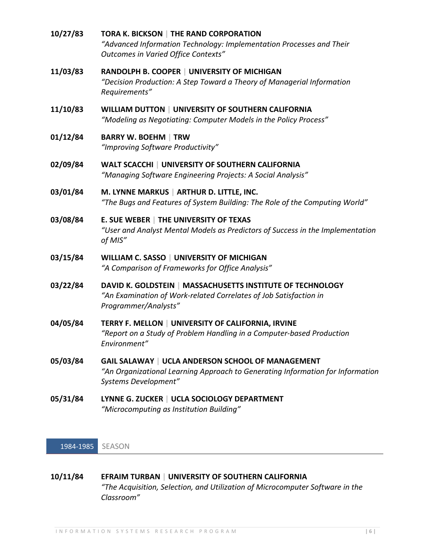| 10/27/83 | TORA K. BICKSON   THE RAND CORPORATION<br>"Advanced Information Technology: Implementation Processes and Their<br>Outcomes in Varied Office Contexts"       |
|----------|-------------------------------------------------------------------------------------------------------------------------------------------------------------|
| 11/03/83 | RANDOLPH B. COOPER   UNIVERSITY OF MICHIGAN<br>"Decision Production: A Step Toward a Theory of Managerial Information<br>Requirements"                      |
| 11/10/83 | WILLIAM DUTTON   UNIVERSITY OF SOUTHERN CALIFORNIA<br>"Modeling as Negotiating: Computer Models in the Policy Process"                                      |
| 01/12/84 | <b>BARRY W. BOEHM   TRW</b><br>"Improving Software Productivity"                                                                                            |
| 02/09/84 | WALT SCACCHI   UNIVERSITY OF SOUTHERN CALIFORNIA<br>"Managing Software Engineering Projects: A Social Analysis"                                             |
| 03/01/84 | M. LYNNE MARKUS   ARTHUR D. LITTLE, INC.<br>"The Bugs and Features of System Building: The Role of the Computing World"                                     |
| 03/08/84 | E. SUE WEBER   THE UNIVERSITY OF TEXAS<br>"User and Analyst Mental Models as Predictors of Success in the Implementation<br>of MIS"                         |
| 03/15/84 | <b>WILLIAM C. SASSO   UNIVERSITY OF MICHIGAN</b><br>"A Comparison of Frameworks for Office Analysis"                                                        |
| 03/22/84 | DAVID K. GOLDSTEIN   MASSACHUSETTS INSTITUTE OF TECHNOLOGY<br>"An Examination of Work-related Correlates of Job Satisfaction in<br>Programmer/Analysts"     |
| 04/05/84 | TERRY F. MELLON   UNIVERSITY OF CALIFORNIA, IRVINE<br>"Report on a Study of Problem Handling in a Computer-based Production<br>Environment"                 |
| 05/03/84 | GAIL SALAWAY   UCLA ANDERSON SCHOOL OF MANAGEMENT<br>"An Organizational Learning Approach to Generating Information for Information<br>Systems Development" |
| 05/31/84 | LYNNE G. ZUCKER   UCLA SOCIOLOGY DEPARTMENT<br>"Microcomputing as Institution Building"                                                                     |
|          |                                                                                                                                                             |

1984-1985 SEASON

| 10/11/84 | <b>EFRAIM TURBAN   UNIVERSITY OF SOUTHERN CALIFORNIA</b>                      |
|----------|-------------------------------------------------------------------------------|
|          | "The Acquisition, Selection, and Utilization of Microcomputer Software in the |
|          | Classroom"                                                                    |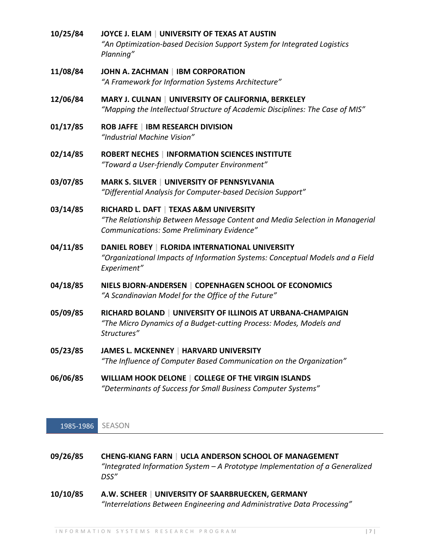- **10/25/84 JOYCE J. ELAM | UNIVERSITY OF TEXAS AT AUSTIN** *"An Optimization-based Decision Support System for Integrated Logistics Planning"*
- **11/08/84 JOHN A. ZACHMAN | IBM CORPORATION** *"A Framework for Information Systems Architecture"*
- **12/06/84 MARY J. CULNAN | UNIVERSITY OF CALIFORNIA, BERKELEY** *"Mapping the Intellectual Structure of Academic Disciplines: The Case of MIS"*
- **01/17/85 ROB JAFFE | IBM RESEARCH DIVISION** *"Industrial Machine Vision"*
- **02/14/85 ROBERT NECHES | INFORMATION SCIENCES INSTITUTE** *"Toward a User-friendly Computer Environment"*
- **03/07/85 MARK S. SILVER | UNIVERSITY OF PENNSYLVANIA** *"Differential Analysis for Computer-based Decision Support"*
- **03/14/85 RICHARD L. DAFT | TEXAS A&M UNIVERSITY** *"The Relationship Between Message Content and Media Selection in Managerial Communications: Some Preliminary Evidence"*
- **04/11/85 DANIEL ROBEY | FLORIDA INTERNATIONAL UNIVERSITY** *"Organizational Impacts of Information Systems: Conceptual Models and a Field Experiment"*
- **04/18/85 NIELS BJORN-ANDERSEN | COPENHAGEN SCHOOL OF ECONOMICS** *"A Scandinavian Model for the Office of the Future"*
- **05/09/85 RICHARD BOLAND | UNIVERSITY OF ILLINOIS AT URBANA-CHAMPAIGN** *"The Micro Dynamics of a Budget-cutting Process: Modes, Models and Structures"*
- **05/23/85 JAMES L. MCKENNEY | HARVARD UNIVERSITY** *"The Influence of Computer Based Communication on the Organization"*
- **06/06/85 WILLIAM HOOK DELONE | COLLEGE OF THE VIRGIN ISLANDS** *"Determinants of Success for Small Business Computer Systems"*

## 1985-1986 SEASON

- **09/26/85 CHENG-KIANG FARN | UCLA ANDERSON SCHOOL OF MANAGEMENT** *"Integrated Information System – A Prototype Implementation of a Generalized DSS"*
- **10/10/85 A.W. SCHEER | UNIVERSITY OF SAARBRUECKEN, GERMANY** *"Interrelations Between Engineering and Administrative Data Processing"*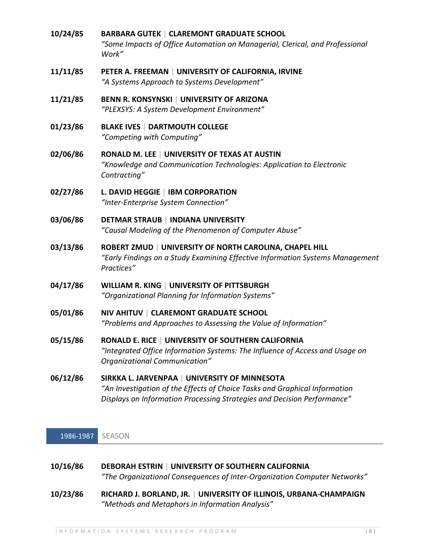**10/24/85 BARBARA GUTEK | CLAREMONT GRADUATE SCHOOL** *"Some Impacts of Office Automation on Managerial, Clerical, and Professional Work"* **11/11/85 PETER A. FREEMAN | UNIVERSITY OF CALIFORNIA, IRVINE**

*"A Systems Approach to Systems Development"*

- **11/21/85 BENN R. KONSYNSKI | UNIVERSITY OF ARIZONA** *"PLEXSYS: A System Development Environment"*
- **01/23/86 BLAKE IVES | DARTMOUTH COLLEGE** *"Competing with Computing"*
- **02/06/86 RONALD M. LEE | UNIVERSITY OF TEXAS AT AUSTIN** *"Knowledge and Communication Technologies: Application to Electronic Contracting"*
- **02/27/86 L. DAVID HEGGIE | IBM CORPORATION** *"Inter-Enterprise System Connection"*
- **03/06/86 DETMAR STRAUB | INDIANA UNIVERSITY** *"Causal Modeling of the Phenomenon of Computer Abuse"*
- **03/13/86 ROBERT ZMUD | UNIVERSITY OF NORTH CAROLINA, CHAPEL HILL** *"Early Findings on a Study Examining Effective Information Systems Management Practices"*
- **04/17/86 WILLIAM R. KING | UNIVERSITY OF PITTSBURGH** *"Organizational Planning for Information Systems"*
- **05/01/86 NIV AHITUV | CLAREMONT GRADUATE SCHOOL** *"Problems and Approaches to Assessing the Value of Information"*
- **05/15/86 RONALD E. RICE | UNIVERSITY OF SOUTHERN CALIFORNIA** *"Integrated Office Information Systems: The Influence of Access and Usage on Organizational Communication"*
- **06/12/86 SIRKKA L. JARVENPAA | UNIVERSITY OF MINNESOTA** *"An Investigation of the Effects of Choice Tasks and Graphical Information Displays on Information Processing Strategies and Decision Performance"*

1986-1987 SEASON

| 10/16/86 | <b>DEBORAH ESTRIN   UNIVERSITY OF SOUTHERN CALIFORNIA</b>                    |
|----------|------------------------------------------------------------------------------|
|          | "The Organizational Consequences of Inter-Organization Computer Networks"    |
| 10/22/0C | <b>LUBILIZEDCITY OF ILLINOIC LIDDANIA CUARADAICNI</b><br>DICITADO LOQUAND ID |

**10/23/86 RICHARD J. BORLAND, JR. | UNIVERSITY OF ILLINOIS, URBANA-CHAMPAIGN** *"Methods and Metaphors in Information Analysis"*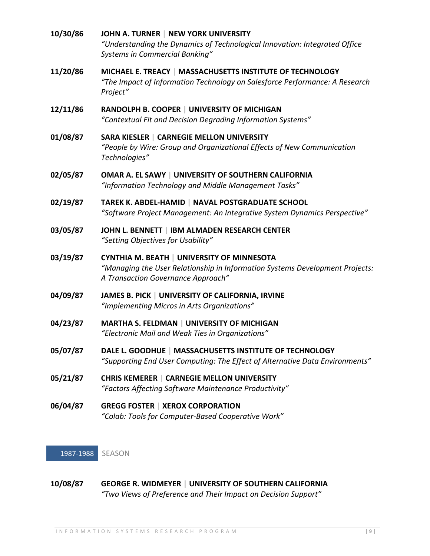| 10/30/86 | JOHN A. TURNER   NEW YORK UNIVERSITY<br>"Understanding the Dynamics of Technological Innovation: Integrated Office<br><b>Systems in Commercial Banking"</b>             |
|----------|-------------------------------------------------------------------------------------------------------------------------------------------------------------------------|
| 11/20/86 | MICHAEL E. TREACY   MASSACHUSETTS INSTITUTE OF TECHNOLOGY<br>"The Impact of Information Technology on Salesforce Performance: A Research<br>Project"                    |
| 12/11/86 | RANDOLPH B. COOPER   UNIVERSITY OF MICHIGAN<br>"Contextual Fit and Decision Degrading Information Systems"                                                              |
| 01/08/87 | <b>SARA KIESLER   CARNEGIE MELLON UNIVERSITY</b><br>"People by Wire: Group and Organizational Effects of New Communication<br>Technologies"                             |
| 02/05/87 | OMAR A. EL SAWY   UNIVERSITY OF SOUTHERN CALIFORNIA<br>"Information Technology and Middle Management Tasks"                                                             |
| 02/19/87 | TAREK K. ABDEL-HAMID   NAVAL POSTGRADUATE SCHOOL<br>"Software Project Management: An Integrative System Dynamics Perspective"                                           |
| 03/05/87 | JOHN L. BENNETT   IBM ALMADEN RESEARCH CENTER<br>"Setting Objectives for Usability"                                                                                     |
| 03/19/87 | <b>CYNTHIA M. BEATH   UNIVERSITY OF MINNESOTA</b><br>"Managing the User Relationship in Information Systems Development Projects:<br>A Transaction Governance Approach" |
| 04/09/87 | JAMES B. PICK   UNIVERSITY OF CALIFORNIA, IRVINE<br>"Implementing Micros in Arts Organizations"                                                                         |
| 04/23/87 | <b>MARTHA S. FELDMAN   UNIVERSITY OF MICHIGAN</b><br>"Electronic Mail and Weak Ties in Organizations"                                                                   |
| 05/07/87 | DALE L. GOODHUE   MASSACHUSETTS INSTITUTE OF TECHNOLOGY<br>"Supporting End User Computing: The Effect of Alternative Data Environments"                                 |
| 05/21/87 | <b>CHRIS KEMERER   CARNEGIE MELLON UNIVERSITY</b><br>"Factors Affecting Software Maintenance Productivity"                                                              |
| 06/04/87 | <b>GREGG FOSTER   XEROX CORPORATION</b><br>"Colab: Tools for Computer-Based Cooperative Work"                                                                           |

1987-1988 SEASON

# **10/08/87 GEORGE R. WIDMEYER | UNIVERSITY OF SOUTHERN CALIFORNIA** *"Two Views of Preference and Their Impact on Decision Support"*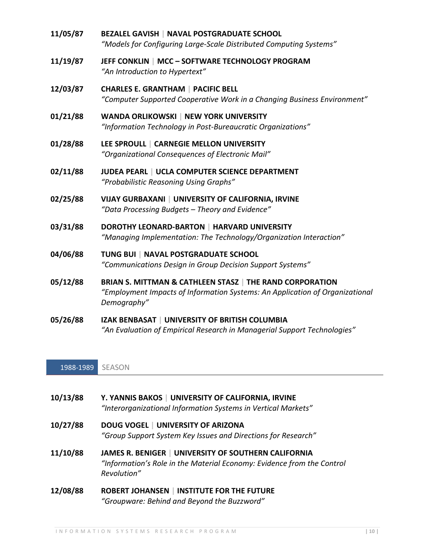| 11/05/87 | <b>BEZALEL GAVISH   NAVAL POSTGRADUATE SCHOOL</b><br>"Models for Configuring Large-Scale Distributed Computing Systems"                                 |
|----------|---------------------------------------------------------------------------------------------------------------------------------------------------------|
| 11/19/87 | JEFF CONKLIN   MCC - SOFTWARE TECHNOLOGY PROGRAM<br>"An Introduction to Hypertext"                                                                      |
| 12/03/87 | <b>CHARLES E. GRANTHAM   PACIFIC BELL</b><br>"Computer Supported Cooperative Work in a Changing Business Environment"                                   |
| 01/21/88 | <b>WANDA ORLIKOWSKI   NEW YORK UNIVERSITY</b><br>"Information Technology in Post-Bureaucratic Organizations"                                            |
| 01/28/88 | LEE SPROULL   CARNEGIE MELLON UNIVERSITY<br>"Organizational Consequences of Electronic Mail"                                                            |
| 02/11/88 | JUDEA PEARL   UCLA COMPUTER SCIENCE DEPARTMENT<br>"Probabilistic Reasoning Using Graphs"                                                                |
| 02/25/88 | VIJAY GURBAXANI   UNIVERSITY OF CALIFORNIA, IRVINE<br>"Data Processing Budgets - Theory and Evidence"                                                   |
| 03/31/88 | <b>DOROTHY LEONARD-BARTON   HARVARD UNIVERSITY</b><br>"Managing Implementation: The Technology/Organization Interaction"                                |
| 04/06/88 | TUNG BUI   NAVAL POSTGRADUATE SCHOOL<br>"Communications Design in Group Decision Support Systems"                                                       |
| 05/12/88 | BRIAN S. MITTMAN & CATHLEEN STASZ   THE RAND CORPORATION<br>"Employment Impacts of Information Systems: An Application of Organizational<br>Demography" |
| 05/26/88 | <b>IZAK BENBASAT   UNIVERSITY OF BRITISH COLUMBIA</b><br>"An Evaluation of Empirical Research in Managerial Support Technologies"                       |

1988-1989 SEASON

| 10/13/88 | Y. YANNIS BAKOS   UNIVERSITY OF CALIFORNIA, IRVINE<br>"Interorganizational Information Systems in Vertical Markets"                           |
|----------|-----------------------------------------------------------------------------------------------------------------------------------------------|
| 10/27/88 | <b>DOUG VOGEL   UNIVERSITY OF ARIZONA</b><br>"Group Support System Key Issues and Directions for Research"                                    |
| 11/10/88 | JAMES R. BENIGER   UNIVERSITY OF SOUTHERN CALIFORNIA<br>"Information's Role in the Material Economy: Evidence from the Control<br>Revolution" |
| 12/08/88 | <b>ROBERT JOHANSEN   INSTITUTE FOR THE FUTURE</b><br>"Groupware: Behind and Beyond the Buzzword"                                              |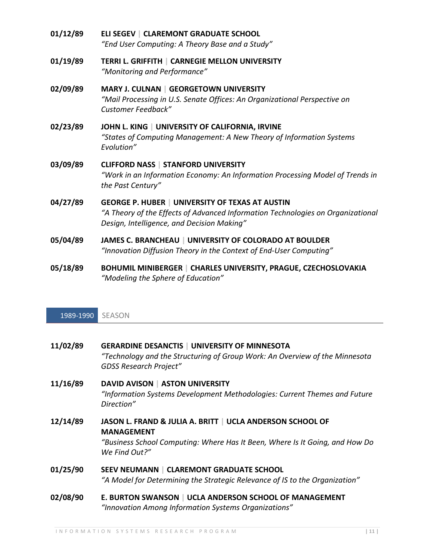- **01/12/89 ELI SEGEV | CLAREMONT GRADUATE SCHOOL** *"End User Computing: A Theory Base and a Study"* **01/19/89 TERRI L. GRIFFITH | CARNEGIE MELLON UNIVERSITY** *"Monitoring and Performance"* **02/09/89 MARY J. CULNAN | GEORGETOWN UNIVERSITY** *"Mail Processing in U.S. Senate Offices: An Organizational Perspective on Customer Feedback"* **02/23/89 JOHN L. KING | UNIVERSITY OF CALIFORNIA, IRVINE** *"States of Computing Management: A New Theory of Information Systems Evolution"* **03/09/89 CLIFFORD NASS | STANFORD UNIVERSITY** *"Work in an Information Economy: An Information Processing Model of Trends in the Past Century"* **04/27/89 GEORGE P. HUBER | UNIVERSITY OF TEXAS AT AUSTIN** *"A Theory of the Effects of Advanced Information Technologies on Organizational Design, Intelligence, and Decision Making"* **05/04/89 JAMES C. BRANCHEAU | UNIVERSITY OF COLORADO AT BOULDER** *"Innovation Diffusion Theory in the Context of End-User Computing"*
- **05/18/89 BOHUMIL MINIBERGER | CHARLES UNIVERSITY, PRAGUE, CZECHOSLOVAKIA** *"Modeling the Sphere of Education"*

#### 1989-1990 SEASON

| 11/02/89 | <b>GERARDINE DESANCTIS   UNIVERSITY OF MINNESOTA</b><br>"Technology and the Structuring of Group Work: An Overview of the Minnesota<br><b>GDSS Research Project"</b>            |
|----------|---------------------------------------------------------------------------------------------------------------------------------------------------------------------------------|
| 11/16/89 | <b>DAVID AVISON   ASTON UNIVERSITY</b><br>"Information Systems Development Methodologies: Current Themes and Future<br>Direction"                                               |
| 12/14/89 | JASON L. FRAND & JULIA A. BRITT   UCLA ANDERSON SCHOOL OF<br><b>MANAGEMENT</b><br>"Business School Computing: Where Has It Been, Where Is It Going, and How Do<br>We Find Out?" |
| 01/25/90 | <b>SEEV NEUMANN   CLAREMONT GRADUATE SCHOOL</b><br>"A Model for Determining the Strategic Relevance of IS to the Organization"                                                  |
| 02/08/90 | E. BURTON SWANSON   UCLA ANDERSON SCHOOL OF MANAGEMENT<br>"Innovation Among Information Systems Organizations"                                                                  |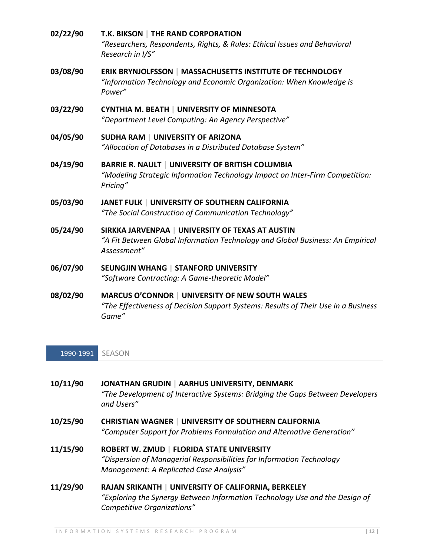| 02/22/90 | T.K. BIKSON   THE RAND CORPORATION<br>"Researchers, Respondents, Rights, & Rules: Ethical Issues and Behavioral<br>Research in I/S"                |
|----------|----------------------------------------------------------------------------------------------------------------------------------------------------|
| 03/08/90 | <b>ERIK BRYNJOLFSSON   MASSACHUSETTS INSTITUTE OF TECHNOLOGY</b><br>"Information Technology and Economic Organization: When Knowledge is<br>Power" |
| 03/22/90 | <b>CYNTHIA M. BEATH   UNIVERSITY OF MINNESOTA</b><br>"Department Level Computing: An Agency Perspective"                                           |
| 04/05/90 | <b>SUDHA RAM   UNIVERSITY OF ARIZONA</b><br>"Allocation of Databases in a Distributed Database System"                                             |
| 04/19/90 | BARRIE R. NAULT   UNIVERSITY OF BRITISH COLUMBIA<br>"Modeling Strategic Information Technology Impact on Inter-Firm Competition:<br>Pricing"       |
| 05/03/90 | JANET FULK   UNIVERSITY OF SOUTHERN CALIFORNIA<br>"The Social Construction of Communication Technology"                                            |
| 05/24/90 | SIRKKA JARVENPAA   UNIVERSITY OF TEXAS AT AUSTIN<br>"A Fit Between Global Information Technology and Global Business: An Empirical<br>Assessment"  |
| 06/07/90 | <b>SEUNGJIN WHANG   STANFORD UNIVERSITY</b><br>"Software Contracting: A Game-theoretic Model"                                                      |
| ng/ng/an | MARCUS O'CONNOR LUNIVERSITY OF NEW SOUTH WALES                                                                                                     |

**08/02/90 MARCUS O'CONNOR | UNIVERSITY OF NEW SOUTH WALES** *"The Effectiveness of Decision Support Systems: Results of Their Use in a Business Game"*

1990-1991 SEASON

| 10/11/90 | JONATHAN GRUDIN   AARHUS UNIVERSITY, DENMARK                                  |
|----------|-------------------------------------------------------------------------------|
|          | "The Development of Interactive Systems: Bridging the Gaps Between Developers |
|          | and Users"                                                                    |

- **10/25/90 CHRISTIAN WAGNER | UNIVERSITY OF SOUTHERN CALIFORNIA** *"Computer Support for Problems Formulation and Alternative Generation"*
- **11/15/90 ROBERT W. ZMUD | FLORIDA STATE UNIVERSITY** *"Dispersion of Managerial Responsibilities for Information Technology Management: A Replicated Case Analysis"*
- **11/29/90 RAJAN SRIKANTH | UNIVERSITY OF CALIFORNIA, BERKELEY** *"Exploring the Synergy Between Information Technology Use and the Design of Competitive Organizations"*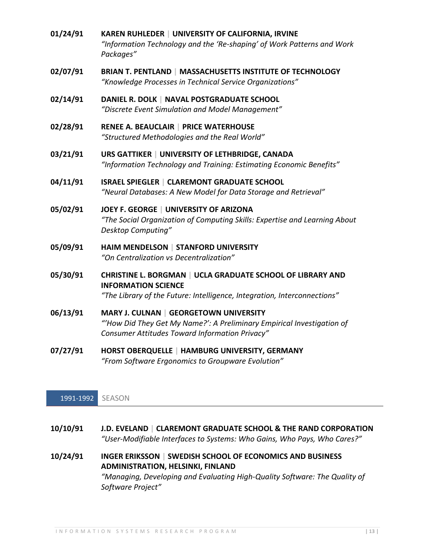- **01/24/91 KAREN RUHLEDER | UNIVERSITY OF CALIFORNIA, IRVINE** *"Information Technology and the 'Re-shaping' of Work Patterns and Work Packages"*
- **02/07/91 BRIAN T. PENTLAND | MASSACHUSETTS INSTITUTE OF TECHNOLOGY** *"Knowledge Processes in Technical Service Organizations"*
- **02/14/91 DANIEL R. DOLK | NAVAL POSTGRADUATE SCHOOL** *"Discrete Event Simulation and Model Management"*
- **02/28/91 RENEE A. BEAUCLAIR | PRICE WATERHOUSE** *"Structured Methodologies and the Real World"*
- **03/21/91 URS GATTIKER | UNIVERSITY OF LETHBRIDGE, CANADA** *"Information Technology and Training: Estimating Economic Benefits"*
- **04/11/91 ISRAEL SPIEGLER | CLAREMONT GRADUATE SCHOOL** *"Neural Databases: A New Model for Data Storage and Retrieval"*
- **05/02/91 JOEY F. GEORGE | UNIVERSITY OF ARIZONA** *"The Social Organization of Computing Skills: Expertise and Learning About Desktop Computing"*
- **05/09/91 HAIM MENDELSON | STANFORD UNIVERSITY** *"On Centralization vs Decentralization"*
- **05/30/91 CHRISTINE L. BORGMAN | UCLA GRADUATE SCHOOL OF LIBRARY AND INFORMATION SCIENCE** *"The Library of the Future: Intelligence, Integration, Interconnections"*
- **06/13/91 MARY J. CULNAN | GEORGETOWN UNIVERSITY** *"'How Did They Get My Name?': A Preliminary Empirical Investigation of Consumer Attitudes Toward Information Privacy"*
- **07/27/91 HORST OBERQUELLE | HAMBURG UNIVERSITY, GERMANY** *"From Software Ergonomics to Groupware Evolution"*

#### 1991-1992 SEASON

- **10/10/91 J.D. EVELAND | CLAREMONT GRADUATE SCHOOL & THE RAND CORPORATION** *"User-Modifiable Interfaces to Systems: Who Gains, Who Pays, Who Cares?"*
- **10/24/91 INGER ERIKSSON | SWEDISH SCHOOL OF ECONOMICS AND BUSINESS ADMINISTRATION, HELSINKI, FINLAND** *"Managing, Developing and Evaluating High-Quality Software: The Quality of Software Project"*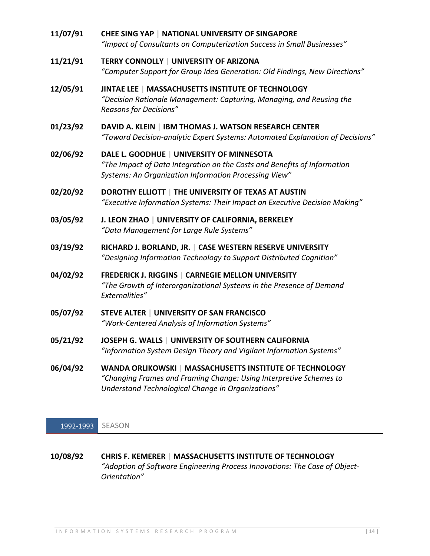- **11/07/91 CHEE SING YAP | NATIONAL UNIVERSITY OF SINGAPORE** *"Impact of Consultants on Computerization Success in Small Businesses"* **11/21/91 TERRY CONNOLLY | UNIVERSITY OF ARIZONA** *"Computer Support for Group Idea Generation: Old Findings, New Directions"* **12/05/91 JINTAE LEE | MASSACHUSETTS INSTITUTE OF TECHNOLOGY** *"Decision Rationale Management: Capturing, Managing, and Reusing the Reasons for Decisions"* **01/23/92 DAVID A. KLEIN | IBM THOMAS J. WATSON RESEARCH CENTER** *"Toward Decision-analytic Expert Systems: Automated Explanation of Decisions"* **02/06/92 DALE L. GOODHUE | UNIVERSITY OF MINNESOTA** *"The Impact of Data Integration on the Costs and Benefits of Information Systems: An Organization Information Processing View"* **02/20/92 DOROTHY ELLIOTT | THE UNIVERSITY OF TEXAS AT AUSTIN** *"Executive Information Systems: Their Impact on Executive Decision Making"* **03/05/92 J. LEON ZHAO | UNIVERSITY OF CALIFORNIA, BERKELEY** *"Data Management for Large Rule Systems"* **03/19/92 RICHARD J. BORLAND, JR. | CASE WESTERN RESERVE UNIVERSITY** *"Designing Information Technology to Support Distributed Cognition"* **04/02/92 FREDERICK J. RIGGINS | CARNEGIE MELLON UNIVERSITY** *"The Growth of Interorganizational Systems in the Presence of Demand Externalities"* **05/07/92 STEVE ALTER | UNIVERSITY OF SAN FRANCISCO** *"Work-Centered Analysis of Information Systems"* **05/21/92 JOSEPH G. WALLS | UNIVERSITY OF SOUTHERN CALIFORNIA** *"Information System Design Theory and Vigilant Information Systems"* **06/04/92 WANDA ORLIKOWSKI | MASSACHUSETTS INSTITUTE OF TECHNOLOGY** *"Changing Frames and Framing Change: Using Interpretive Schemes to* 
	- 1992-1993 SEASON
- **10/08/92 CHRIS F. KEMERER | MASSACHUSETTS INSTITUTE OF TECHNOLOGY** *"Adoption of Software Engineering Process Innovations: The Case of Object-Orientation"*

*Understand Technological Change in Organizations"*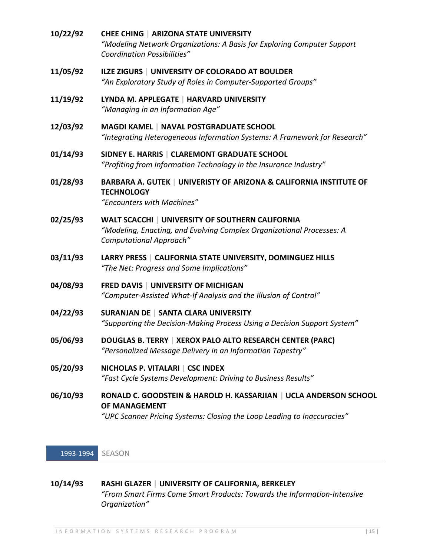- **10/22/92 CHEE CHING | ARIZONA STATE UNIVERSITY** *"Modeling Network Organizations: A Basis for Exploring Computer Support Coordination Possibilities"*
- **11/05/92 ILZE ZIGURS | UNIVERSITY OF COLORADO AT BOULDER** *"An Exploratory Study of Roles in Computer-Supported Groups"*
- **11/19/92 LYNDA M. APPLEGATE | HARVARD UNIVERSITY** *"Managing in an Information Age"*
- **12/03/92 MAGDI KAMEL | NAVAL POSTGRADUATE SCHOOL** *"Integrating Heterogeneous Information Systems: A Framework for Research"*
- **01/14/93 SIDNEY E. HARRIS | CLAREMONT GRADUATE SCHOOL** *"Profiting from Information Technology in the Insurance Industry"*
- **01/28/93 BARBARA A. GUTEK | UNIVERISTY OF ARIZONA & CALIFORNIA INSTITUTE OF TECHNOLOGY**

*"Encounters with Machines"*

- **02/25/93 WALT SCACCHI | UNIVERSITY OF SOUTHERN CALIFORNIA** *"Modeling, Enacting, and Evolving Complex Organizational Processes: A Computational Approach"*
- **03/11/93 LARRY PRESS | CALIFORNIA STATE UNIVERSITY, DOMINGUEZ HILLS** *"The Net: Progress and Some Implications"*
- **04/08/93 FRED DAVIS | UNIVERSITY OF MICHIGAN** *"Computer-Assisted What-If Analysis and the Illusion of Control"*
- **04/22/93 SURANJAN DE | SANTA CLARA UNIVERSITY** *"Supporting the Decision-Making Process Using a Decision Support System"*
- **05/06/93 DOUGLAS B. TERRY | XEROX PALO ALTO RESEARCH CENTER (PARC)** *"Personalized Message Delivery in an Information Tapestry"*
- **05/20/93 NICHOLAS P. VITALARI | CSC INDEX** *"Fast Cycle Systems Development: Driving to Business Results"*
- **06/10/93 RONALD C. GOODSTEIN & HAROLD H. KASSARJIAN | UCLA ANDERSON SCHOOL OF MANAGEMENT**

*"UPC Scanner Pricing Systems: Closing the Loop Leading to Inaccuracies"*

1993-1994 SEASON

## **10/14/93 RASHI GLAZER | UNIVERSITY OF CALIFORNIA, BERKELEY** *"From Smart Firms Come Smart Products: Towards the Information-Intensive Organization"*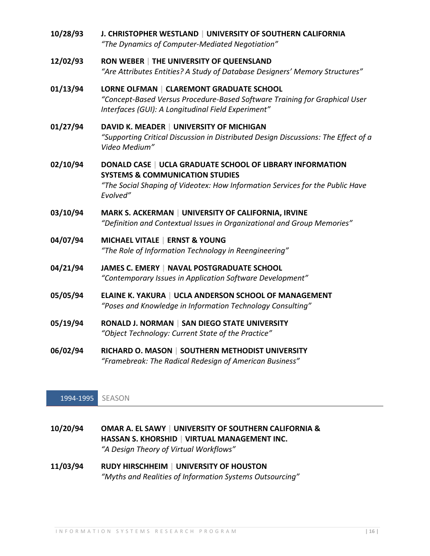| 10/28/93 | J. CHRISTOPHER WESTLAND   UNIVERSITY OF SOUTHERN CALIFORNIA<br>"The Dynamics of Computer-Mediated Negotiation"                                                                                       |
|----------|------------------------------------------------------------------------------------------------------------------------------------------------------------------------------------------------------|
| 12/02/93 | RON WEBER   THE UNIVERSITY OF QUEENSLAND<br>"Are Attributes Entities? A Study of Database Designers' Memory Structures"                                                                              |
| 01/13/94 | LORNE OLFMAN   CLAREMONT GRADUATE SCHOOL<br>"Concept-Based Versus Procedure-Based Software Training for Graphical User<br>Interfaces (GUI): A Longitudinal Field Experiment"                         |
| 01/27/94 | DAVID K. MEADER   UNIVERSITY OF MICHIGAN<br>"Supporting Critical Discussion in Distributed Design Discussions: The Effect of a<br>Video Medium"                                                      |
| 02/10/94 | DONALD CASE   UCLA GRADUATE SCHOOL OF LIBRARY INFORMATION<br><b>SYSTEMS &amp; COMMUNICATION STUDIES</b><br>"The Social Shaping of Videotex: How Information Services for the Public Have<br>Evolved" |
| 03/10/94 | MARK S. ACKERMAN   UNIVERSITY OF CALIFORNIA, IRVINE<br>"Definition and Contextual Issues in Organizational and Group Memories"                                                                       |
| 04/07/94 | <b>MICHAEL VITALE   ERNST &amp; YOUNG</b><br>"The Role of Information Technology in Reengineering"                                                                                                   |
| 04/21/94 | JAMES C. EMERY   NAVAL POSTGRADUATE SCHOOL<br>"Contemporary Issues in Application Software Development"                                                                                              |
| 05/05/94 | ELAINE K. YAKURA   UCLA ANDERSON SCHOOL OF MANAGEMENT<br>"Poses and Knowledge in Information Technology Consulting"                                                                                  |
| 05/19/94 | RONALD J. NORMAN   SAN DIEGO STATE UNIVERSITY<br>"Object Technology: Current State of the Practice"                                                                                                  |
| 06/02/94 | RICHARD O. MASON   SOUTHERN METHODIST UNIVERSITY<br>"Framebreak: The Radical Redesign of American Business"                                                                                          |

# 1994-1995 SEASON

| 10/20/94 | OMAR A. EL SAWY   UNIVERSITY OF SOUTHERN CALIFORNIA & |
|----------|-------------------------------------------------------|
|          | HASSAN S. KHORSHID   VIRTUAL MANAGEMENT INC.          |
|          | "A Design Theory of Virtual Workflows"                |

**11/03/94 RUDY HIRSCHHEIM | UNIVERSITY OF HOUSTON** *"Myths and Realities of Information Systems Outsourcing"*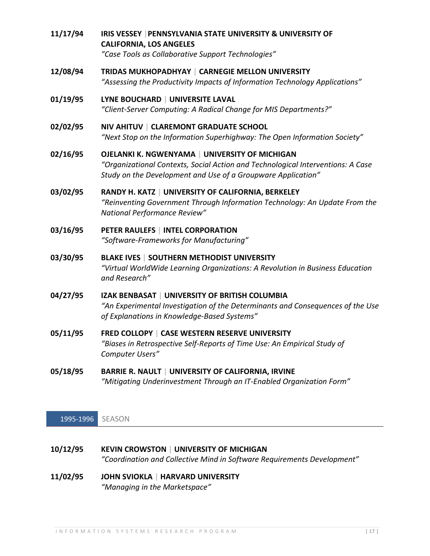- **11/17/94 IRIS VESSEY |PENNSYLVANIA STATE UNIVERSITY & UNIVERSITY OF CALIFORNIA, LOS ANGELES** *"Case Tools as Collaborative Support Technologies"*
- **12/08/94 TRIDAS MUKHOPADHYAY | CARNEGIE MELLON UNIVERSITY** *"Assessing the Productivity Impacts of Information Technology Applications"*
- **01/19/95 LYNE BOUCHARD | UNIVERSITE LAVAL** *"Client-Server Computing: A Radical Change for MIS Departments?"*
- **02/02/95 NIV AHITUV | CLAREMONT GRADUATE SCHOOL** *"Next Stop on the Information Superhighway: The Open Information Society"*
- **02/16/95 OJELANKI K. NGWENYAMA | UNIVERSITY OF MICHIGAN** *"Organizational Contexts, Social Action and Technological Interventions: A Case Study on the Development and Use of a Groupware Application"*
- **03/02/95 RANDY H. KATZ | UNIVERSITY OF CALIFORNIA, BERKELEY** *"Reinventing Government Through Information Technology: An Update From the National Performance Review"*
- **03/16/95 PETER RAULEFS | INTEL CORPORATION** *"Software-Frameworks for Manufacturing"*
- **03/30/95 BLAKE IVES | SOUTHERN METHODIST UNIVERSITY** *"Virtual WorldWide Learning Organizations: A Revolution in Business Education and Research"*
- **04/27/95 IZAK BENBASAT | UNIVERSITY OF BRITISH COLUMBIA** *"An Experimental Investigation of the Determinants and Consequences of the Use of Explanations in Knowledge-Based Systems"*
- **05/11/95 FRED COLLOPY | CASE WESTERN RESERVE UNIVERSITY** *"Biases in Retrospective Self-Reports of Time Use: An Empirical Study of Computer Users"*
- **05/18/95 BARRIE R. NAULT | UNIVERSITY OF CALIFORNIA, IRVINE** *"Mitigating Underinvestment Through an IT-Enabled Organization Form"*

## 1995-1996 SEASON

- **10/12/95 KEVIN CROWSTON | UNIVERSITY OF MICHIGAN** *"Coordination and Collective Mind in Software Requirements Development"*
- **11/02/95 JOHN SVIOKLA | HARVARD UNIVERSITY** *"Managing in the Marketspace"*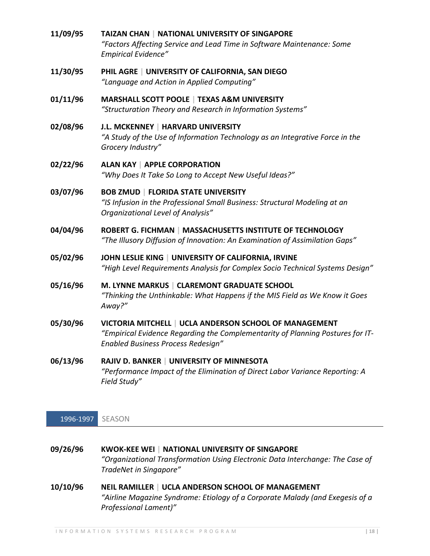- **11/09/95 TAIZAN CHAN | NATIONAL UNIVERSITY OF SINGAPORE** *"Factors Affecting Service and Lead Time in Software Maintenance: Some Empirical Evidence"*
- **11/30/95 PHIL AGRE | UNIVERSITY OF CALIFORNIA, SAN DIEGO** *"Language and Action in Applied Computing"*
- **01/11/96 MARSHALL SCOTT POOLE | TEXAS A&M UNIVERSITY** *"Structuration Theory and Research in Information Systems"*
- **02/08/96 J.L. MCKENNEY | HARVARD UNIVERSITY** *"A Study of the Use of Information Technology as an Integrative Force in the Grocery Industry"*
- **02/22/96 ALAN KAY | APPLE CORPORATION** *"Why Does It Take So Long to Accept New Useful Ideas?"*
- **03/07/96 BOB ZMUD | FLORIDA STATE UNIVERSITY** *"IS Infusion in the Professional Small Business: Structural Modeling at an Organizational Level of Analysis"*
- **04/04/96 ROBERT G. FICHMAN | MASSACHUSETTS INSTITUTE OF TECHNOLOGY** *"The Illusory Diffusion of Innovation: An Examination of Assimilation Gaps"*
- **05/02/96 JOHN LESLIE KING | UNIVERSITY OF CALIFORNIA, IRVINE** *"High Level Requirements Analysis for Complex Socio Technical Systems Design"*
- **05/16/96 M. LYNNE MARKUS | CLAREMONT GRADUATE SCHOOL** *"Thinking the Unthinkable: What Happens if the MIS Field as We Know it Goes Away?"*
- **05/30/96 VICTORIA MITCHELL | UCLA ANDERSON SCHOOL OF MANAGEMENT** *"Empirical Evidence Regarding the Complementarity of Planning Postures for IT-Enabled Business Process Redesign"*
- **06/13/96 RAJIV D. BANKER | UNIVERSITY OF MINNESOTA** *"Performance Impact of the Elimination of Direct Labor Variance Reporting: A Field Study"*

## 1996-1997 SEASON

- **09/26/96 KWOK-KEE WEI | NATIONAL UNIVERSITY OF SINGAPORE** *"Organizational Transformation Using Electronic Data Interchange: The Case of TradeNet in Singapore"*
- **10/10/96 NEIL RAMILLER | UCLA ANDERSON SCHOOL OF MANAGEMENT** *"Airline Magazine Syndrome: Etiology of a Corporate Malady (and Exegesis of a Professional Lament)"*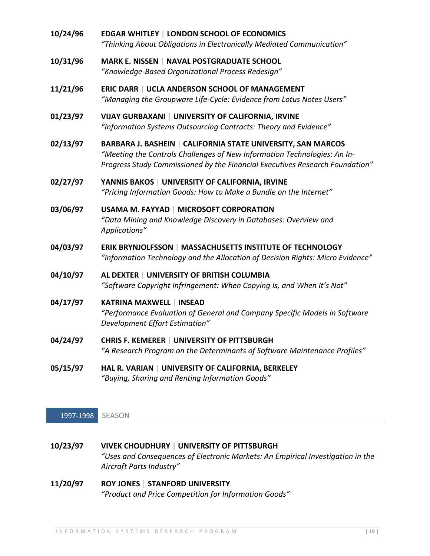- **10/24/96 EDGAR WHITLEY | LONDON SCHOOL OF ECONOMICS** *"Thinking About Obligations in Electronically Mediated Communication"*
- **10/31/96 MARK E. NISSEN | NAVAL POSTGRADUATE SCHOOL** *"Knowledge-Based Organizational Process Redesign"*
- **11/21/96 ERIC DARR | UCLA ANDERSON SCHOOL OF MANAGEMENT** *"Managing the Groupware Life-Cycle: Evidence from Lotus Notes Users"*
- **01/23/97 VIJAY GURBAXANI | UNIVERSITY OF CALIFORNIA, IRVINE** *"Information Systems Outsourcing Contracts: Theory and Evidence"*
- **02/13/97 BARBARA J. BASHEIN | CALIFORNIA STATE UNIVERSITY, SAN MARCOS** *"Meeting the Controls Challenges of New Information Technologies: An In-Progress Study Commissioned by the Financial Executives Research Foundation"*
- **02/27/97 YANNIS BAKOS | UNIVERSITY OF CALIFORNIA, IRVINE** *"Pricing Information Goods: How to Make a Bundle on the Internet"*
- **03/06/97 USAMA M. FAYYAD | MICROSOFT CORPORATION** *"Data Mining and Knowledge Discovery in Databases: Overview and Applications"*
- **04/03/97 ERIK BRYNJOLFSSON | MASSACHUSETTS INSTITUTE OF TECHNOLOGY** *"Information Technology and the Allocation of Decision Rights: Micro Evidence"*
- **04/10/97 AL DEXTER | UNIVERSITY OF BRITISH COLUMBIA** *"Software Copyright Infringement: When Copying Is, and When It's Not"*

**04/17/97 KATRINA MAXWELL | INSEAD** *"Performance Evaluation of General and Company Specific Models in Software Development Effort Estimation"*

- **04/24/97 CHRIS F. KEMERER | UNIVERSITY OF PITTSBURGH** *"A Research Program on the Determinants of Software Maintenance Profiles"*
- **05/15/97 HAL R. VARIAN | UNIVERSITY OF CALIFORNIA, BERKELEY** *"Buying, Sharing and Renting Information Goods"*

1997-1998 SEASON

- **10/23/97 VIVEK CHOUDHURY | UNIVERSITY OF PITTSBURGH** *"Uses and Consequences of Electronic Markets: An Empirical Investigation in the Aircraft Parts Industry"*
- **11/20/97 ROY JONES | STANFORD UNIVERSITY** *"Product and Price Competition for Information Goods"*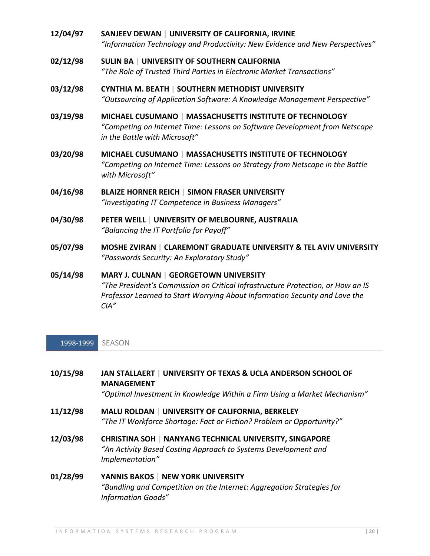- **12/04/97 SANJEEV DEWAN | UNIVERSITY OF CALIFORNIA, IRVINE** *"Information Technology and Productivity: New Evidence and New Perspectives"*
- **02/12/98 SULIN BA | UNIVERSITY OF SOUTHERN CALIFORNIA** *"The Role of Trusted Third Parties in Electronic Market Transactions"*
- **03/12/98 CYNTHIA M. BEATH | SOUTHERN METHODIST UNIVERSITY** *"Outsourcing of Application Software: A Knowledge Management Perspective"*
- **03/19/98 MICHAEL CUSUMANO | MASSACHUSETTS INSTITUTE OF TECHNOLOGY** *"Competing on Internet Time: Lessons on Software Development from Netscape in the Battle with Microsoft"*
- **03/20/98 MICHAEL CUSUMANO | MASSACHUSETTS INSTITUTE OF TECHNOLOGY** *"Competing on Internet Time: Lessons on Strategy from Netscape in the Battle with Microsoft"*
- **04/16/98 BLAIZE HORNER REICH | SIMON FRASER UNIVERSITY** *"Investigating IT Competence in Business Managers"*
- **04/30/98 PETER WEILL | UNIVERSITY OF MELBOURNE, AUSTRALIA** *"Balancing the IT Portfolio for Payoff"*
- **05/07/98 MOSHE ZVIRAN | CLAREMONT GRADUATE UNIVERSITY & TEL AVIV UNIVERSITY** *"Passwords Security: An Exploratory Study"*

**05/14/98 MARY J. CULNAN | GEORGETOWN UNIVERSITY** *"The President's Commission on Critical Infrastructure Protection, or How an IS Professor Learned to Start Worrying About Information Security and Love the CIA"*

1998-1999 SEASON

- **10/15/98 JAN STALLAERT | UNIVERSITY OF TEXAS & UCLA ANDERSON SCHOOL OF MANAGEMENT** *"Optimal Investment in Knowledge Within a Firm Using a Market Mechanism"* **11/12/98 MALU ROLDAN | UNIVERSITY OF CALIFORNIA, BERKELEY**
	- *"The IT Workforce Shortage: Fact or Fiction? Problem or Opportunity?"*
- **12/03/98 CHRISTINA SOH | NANYANG TECHNICAL UNIVERSITY, SINGAPORE** *"An Activity Based Costing Approach to Systems Development and Implementation"*
- **01/28/99 YANNIS BAKOS | NEW YORK UNIVERSITY** *"Bundling and Competition on the Internet: Aggregation Strategies for Information Goods"*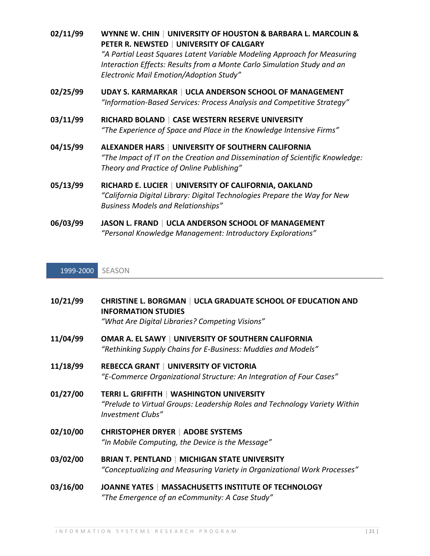| 02/11/99 | WYNNE W. CHIN   UNIVERSITY OF HOUSTON & BARBARA L. MARCOLIN &<br>PETER R. NEWSTED   UNIVERSITY OF CALGARY<br>"A Partial Least Squares Latent Variable Modeling Approach for Measuring<br>Interaction Effects: Results from a Monte Carlo Simulation Study and an<br><b>Electronic Mail Emotion/Adoption Study"</b> |
|----------|--------------------------------------------------------------------------------------------------------------------------------------------------------------------------------------------------------------------------------------------------------------------------------------------------------------------|
| 02/25/99 | UDAY S. KARMARKAR   UCLA ANDERSON SCHOOL OF MANAGEMENT<br>"Information-Based Services: Process Analysis and Competitive Strategy"                                                                                                                                                                                  |
| 03/11/99 | RICHARD BOLAND   CASE WESTERN RESERVE UNIVERSITY<br>"The Experience of Space and Place in the Knowledge Intensive Firms"                                                                                                                                                                                           |
| 04/15/99 | ALEXANDER HARS   UNIVERSITY OF SOUTHERN CALIFORNIA<br>"The Impact of IT on the Creation and Dissemination of Scientific Knowledge:<br>Theory and Practice of Online Publishing"                                                                                                                                    |
| 05/13/99 | RICHARD E. LUCIER   UNIVERSITY OF CALIFORNIA, OAKLAND<br>"California Digital Library: Digital Technologies Prepare the Way for New<br><b>Business Models and Relationships"</b>                                                                                                                                    |

**06/03/99 JASON L. FRAND | UCLA ANDERSON SCHOOL OF MANAGEMENT** *"Personal Knowledge Management: Introductory Explorations"*

1999-2000 SEASON

| 10/21/99 | <b>CHRISTINE L. BORGMAN   UCLA GRADUATE SCHOOL OF EDUCATION AND</b><br><b>INFORMATION STUDIES</b><br>"What Are Digital Libraries? Competing Visions" |
|----------|------------------------------------------------------------------------------------------------------------------------------------------------------|
| 11/04/99 | OMAR A. EL SAWY   UNIVERSITY OF SOUTHERN CALIFORNIA<br>"Rethinking Supply Chains for E-Business: Muddies and Models"                                 |
| 11/18/99 | <b>REBECCA GRANT   UNIVERSITY OF VICTORIA</b><br>"E-Commerce Organizational Structure: An Integration of Four Cases"                                 |
| 01/27/00 | <b>TERRI L. GRIFFITH   WASHINGTON UNIVERSITY</b><br>"Prelude to Virtual Groups: Leadership Roles and Technology Variety Within<br>Investment Clubs"  |
| 02/10/00 | <b>CHRISTOPHER DRYER   ADOBE SYSTEMS</b><br>"In Mobile Computing, the Device is the Message"                                                         |
| 03/02/00 | <b>BRIAN T. PENTLAND   MICHIGAN STATE UNIVERSITY</b><br>"Conceptualizing and Measuring Variety in Organizational Work Processes"                     |
| 03/16/00 | JOANNE YATES   MASSACHUSETTS INSTITUTE OF TECHNOLOGY<br>"The Emergence of an eCommunity: A Case Study"                                               |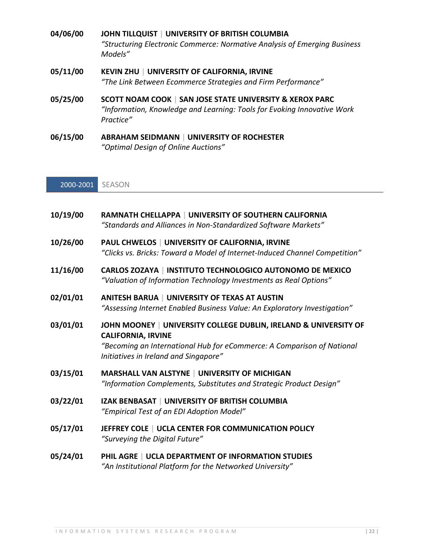- **04/06/00 JOHN TILLQUIST | UNIVERSITY OF BRITISH COLUMBIA** *"Structuring Electronic Commerce: Normative Analysis of Emerging Business Models"*
- **05/11/00 KEVIN ZHU | UNIVERSITY OF CALIFORNIA, IRVINE** *"The Link Between Ecommerce Strategies and Firm Performance"*
- **05/25/00 SCOTT NOAM COOK | SAN JOSE STATE UNIVERSITY & XEROX PARC** *"Information, Knowledge and Learning: Tools for Evoking Innovative Work Practice"*
- **06/15/00 ABRAHAM SEIDMANN | UNIVERSITY OF ROCHESTER** *"Optimal Design of Online Auctions"*

2000-2001 SEASON

- **10/19/00 RAMNATH CHELLAPPA | UNIVERSITY OF SOUTHERN CALIFORNIA** *"Standards and Alliances in Non-Standardized Software Markets"*
- **10/26/00 PAUL CHWELOS | UNIVERSITY OF CALIFORNIA, IRVINE** *"Clicks vs. Bricks: Toward a Model of Internet-Induced Channel Competition"*
- **11/16/00 CARLOS ZOZAYA | INSTITUTO TECHNOLOGICO AUTONOMO DE MEXICO** *"Valuation of Information Technology Investments as Real Options"*
- **02/01/01 ANITESH BARUA | UNIVERSITY OF TEXAS AT AUSTIN** *"Assessing Internet Enabled Business Value: An Exploratory Investigation"*
- **03/01/01 JOHN MOONEY | UNIVERSITY COLLEGE DUBLIN, IRELAND & UNIVERSITY OF CALIFORNIA, IRVINE** *"Becoming an International Hub for eCommerce: A Comparison of National Initiatives in Ireland and Singapore"*
- **03/15/01 MARSHALL VAN ALSTYNE | UNIVERSITY OF MICHIGAN** *"Information Complements, Substitutes and Strategic Product Design"*
- **03/22/01 IZAK BENBASAT | UNIVERSITY OF BRITISH COLUMBIA** *"Empirical Test of an EDI Adoption Model"*
- **05/17/01 JEFFREY COLE | UCLA CENTER FOR COMMUNICATION POLICY** *"Surveying the Digital Future"*
- **05/24/01 PHIL AGRE | UCLA DEPARTMENT OF INFORMATION STUDIES** *"An Institutional Platform for the Networked University"*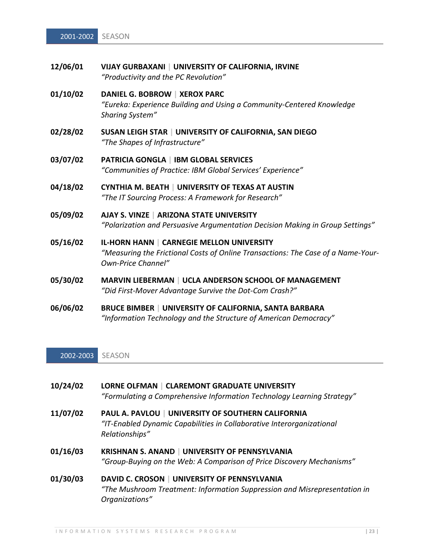| 12/06/01 | VIJAY GURBAXANI   UNIVERSITY OF CALIFORNIA, IRVINE |
|----------|----------------------------------------------------|
|          | "Productivity and the PC Revolution"               |

#### **01/10/02 DANIEL G. BOBROW | XEROX PARC** *"Eureka: Experience Building and Using a Community-Centered Knowledge Sharing System"*

- **02/28/02 SUSAN LEIGH STAR | UNIVERSITY OF CALIFORNIA, SAN DIEGO** *"The Shapes of Infrastructure"*
- **03/07/02 PATRICIA GONGLA | IBM GLOBAL SERVICES** *"Communities of Practice: IBM Global Services' Experience"*
- **04/18/02 CYNTHIA M. BEATH | UNIVERSITY OF TEXAS AT AUSTIN** *"The IT Sourcing Process: A Framework for Research"*
- **05/09/02 AJAY S. VINZE | ARIZONA STATE UNIVERSITY** *"Polarization and Persuasive Argumentation Decision Making in Group Settings"*
- **05/16/02 IL-HORN HANN | CARNEGIE MELLON UNIVERSITY** *"Measuring the Frictional Costs of Online Transactions: The Case of a Name-Your-Own-Price Channel"*
- **05/30/02 MARVIN LIEBERMAN | UCLA ANDERSON SCHOOL OF MANAGEMENT** *"Did First-Mover Advantage Survive the Dot-Com Crash?"*
- **06/06/02 BRUCE BIMBER | UNIVERSITY OF CALIFORNIA, SANTA BARBARA** *"Information Technology and the Structure of American Democracy"*

#### 2002-2003 SEASON

- **10/24/02 LORNE OLFMAN | CLAREMONT GRADUATE UNIVERSITY** *"Formulating a Comprehensive Information Technology Learning Strategy"*
- **11/07/02 PAUL A. PAVLOU | UNIVERSITY OF SOUTHERN CALIFORNIA** *"IT-Enabled Dynamic Capabilities in Collaborative Interorganizational Relationships"*
- **01/16/03 KRISHNAN S. ANAND | UNIVERSITY OF PENNSYLVANIA** *"Group-Buying on the Web: A Comparison of Price Discovery Mechanisms"*
- **01/30/03 DAVID C. CROSON | UNIVERSITY OF PENNSYLVANIA** *"The Mushroom Treatment: Information Suppression and Misrepresentation in Organizations"*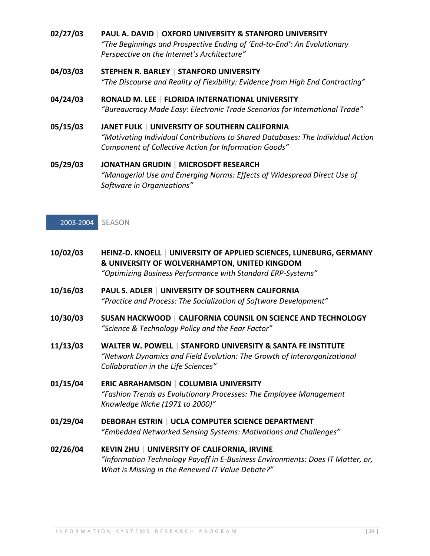- **02/27/03 PAUL A. DAVID | OXFORD UNIVERSITY & STANFORD UNIVERSITY** *"The Beginnings and Prospective Ending of 'End-to-End': An Evolutionary Perspective on the Internet's Architecture"*
- **04/03/03 STEPHEN R. BARLEY | STANFORD UNIVERSITY** *"The Discourse and Reality of Flexibility: Evidence from High End Contracting"*
- **04/24/03 RONALD M. LEE | FLORIDA INTERNATIONAL UNIVERSITY** *"Bureaucracy Made Easy: Electronic Trade Scenarios for International Trade"*
- **05/15/03 JANET FULK | UNIVERSITY OF SOUTHERN CALIFORNIA** *"Motivating Individual Contributions to Shared Databases: The Individual Action Component of Collective Action for Information Goods"*
- **05/29/03 JONATHAN GRUDIN | MICROSOFT RESEARCH** *"Managerial Use and Emerging Norms: Effects of Widespread Direct Use of Software in Organizations"*

2003-2004 SEASON

| 10/02/03 | HEINZ-D. KNOELL   UNIVERSITY OF APPLIED SCIENCES, LUNEBURG, GERMANY<br>& UNIVERSITY OF WOLVERHAMPTON, UNITED KINGDOM<br>"Optimizing Business Performance with Standard ERP-Systems"       |
|----------|-------------------------------------------------------------------------------------------------------------------------------------------------------------------------------------------|
| 10/16/03 | <b>PAUL S. ADLER   UNIVERSITY OF SOUTHERN CALIFORNIA</b><br>"Practice and Process: The Socialization of Software Development"                                                             |
| 10/30/03 | <b>SUSAN HACKWOOD   CALIFORNIA COUNSIL ON SCIENCE AND TECHNOLOGY</b><br>"Science & Technology Policy and the Fear Factor"                                                                 |
| 11/13/03 | WALTER W. POWELL   STANFORD UNIVERSITY & SANTA FE INSTITUTE<br>"Network Dynamics and Field Evolution: The Growth of Interorganizational<br>Collaboration in the Life Sciences"            |
| 01/15/04 | <b>ERIC ABRAHAMSON   COLUMBIA UNIVERSITY</b><br>"Fashion Trends as Evolutionary Processes: The Employee Management<br>Knowledge Niche (1971 to 2000)"                                     |
| 01/29/04 | DEBORAH ESTRIN   UCLA COMPUTER SCIENCE DEPARTMENT<br>"Embedded Networked Sensing Systems: Motivations and Challenges"                                                                     |
| 02/26/04 | <b>KEVIN ZHU   UNIVERSITY OF CALIFORNIA, IRVINE</b><br>"Information Technology Payoff in E-Business Environments: Does IT Matter, or,<br>What is Missing in the Renewed IT Value Debate?" |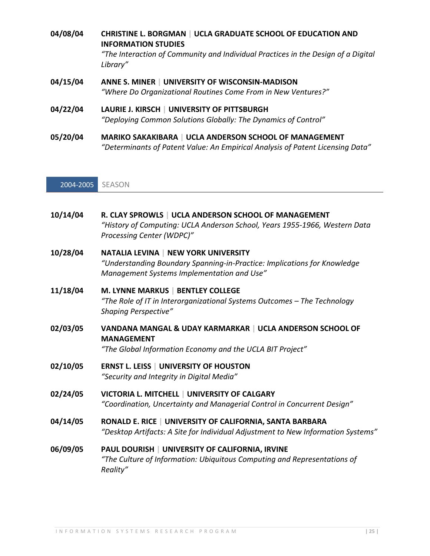| 04/08/04 | <b>CHRISTINE L. BORGMAN   UCLA GRADUATE SCHOOL OF EDUCATION AND</b><br><b>INFORMATION STUDIES</b><br>"The Interaction of Community and Individual Practices in the Design of a Digital<br>Library" |
|----------|----------------------------------------------------------------------------------------------------------------------------------------------------------------------------------------------------|
| 04/15/04 | ANNE S. MINER   UNIVERSITY OF WISCONSIN-MADISON<br>"Where Do Organizational Routines Come From in New Ventures?"                                                                                   |
| 04/22/04 | LAURIE J. KIRSCH   UNIVERSITY OF PITTSBURGH<br>"Deploying Common Solutions Globally: The Dynamics of Control"                                                                                      |
| 05/20/04 | <b>MARIKO SAKAKIBARA   UCLA ANDERSON SCHOOL OF MANAGEMENT</b>                                                                                                                                      |

*"Determinants of Patent Value: An Empirical Analysis of Patent Licensing Data"*

2004-2005 SEASON

| 10/14/04 | R. CLAY SPROWLS   UCLA ANDERSON SCHOOL OF MANAGEMENT<br>"History of Computing: UCLA Anderson School, Years 1955-1966, Western Data<br>Processing Center (WDPC)"       |
|----------|-----------------------------------------------------------------------------------------------------------------------------------------------------------------------|
| 10/28/04 | <b>NATALIA LEVINA   NEW YORK UNIVERSITY</b><br>"Understanding Boundary Spanning-in-Practice: Implications for Knowledge<br>Management Systems Implementation and Use" |
| 11/18/04 | M. LYNNE MARKUS   BENTLEY COLLEGE<br>"The Role of IT in Interorganizational Systems Outcomes - The Technology<br><b>Shaping Perspective"</b>                          |
| 02/03/05 | VANDANA MANGAL & UDAY KARMARKAR   UCLA ANDERSON SCHOOL OF<br><b>MANAGEMENT</b><br>"The Global Information Economy and the UCLA BIT Project"                           |
| 02/10/05 | <b>ERNST L. LEISS   UNIVERSITY OF HOUSTON</b><br>"Security and Integrity in Digital Media"                                                                            |
| 02/24/05 | VICTORIA L. MITCHELL   UNIVERSITY OF CALGARY<br>"Coordination, Uncertainty and Managerial Control in Concurrent Design"                                               |
| 04/14/05 | RONALD E. RICE   UNIVERSITY OF CALIFORNIA, SANTA BARBARA<br>"Desktop Artifacts: A Site for Individual Adjustment to New Information Systems"                          |
| 06/09/05 | PAUL DOURISH   UNIVERSITY OF CALIFORNIA, IRVINE<br>"The Culture of Information: Ubiquitous Computing and Representations of<br>Reality"                               |